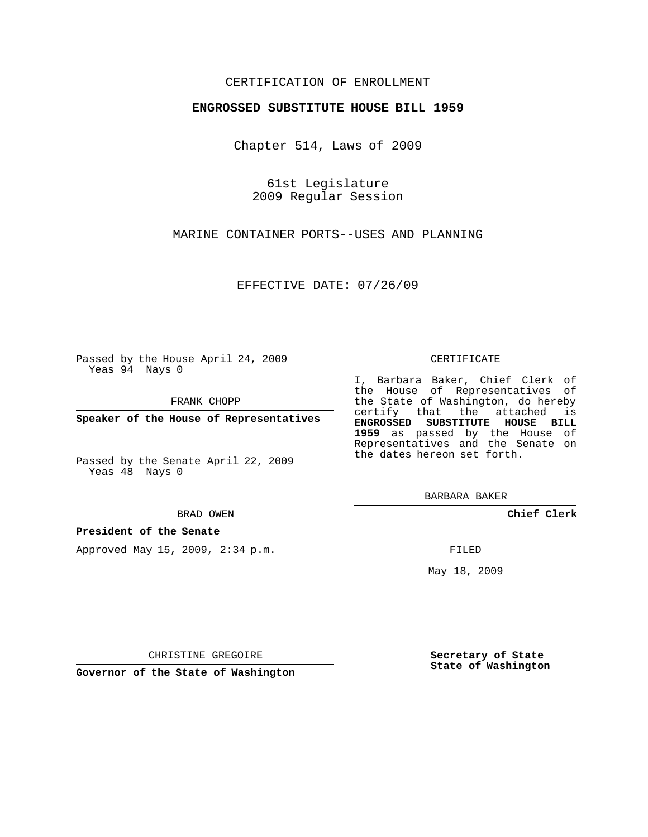## CERTIFICATION OF ENROLLMENT

## **ENGROSSED SUBSTITUTE HOUSE BILL 1959**

Chapter 514, Laws of 2009

61st Legislature 2009 Regular Session

MARINE CONTAINER PORTS--USES AND PLANNING

EFFECTIVE DATE: 07/26/09

Passed by the House April 24, 2009 Yeas 94 Nays 0

FRANK CHOPP

**Speaker of the House of Representatives**

Passed by the Senate April 22, 2009 Yeas 48 Nays 0

#### BRAD OWEN

## **President of the Senate**

Approved May 15, 2009, 2:34 p.m.

#### CERTIFICATE

I, Barbara Baker, Chief Clerk of the House of Representatives of the State of Washington, do hereby certify that the attached is **ENGROSSED SUBSTITUTE HOUSE BILL 1959** as passed by the House of Representatives and the Senate on the dates hereon set forth.

BARBARA BAKER

**Chief Clerk**

FILED

May 18, 2009

**Secretary of State State of Washington**

CHRISTINE GREGOIRE

**Governor of the State of Washington**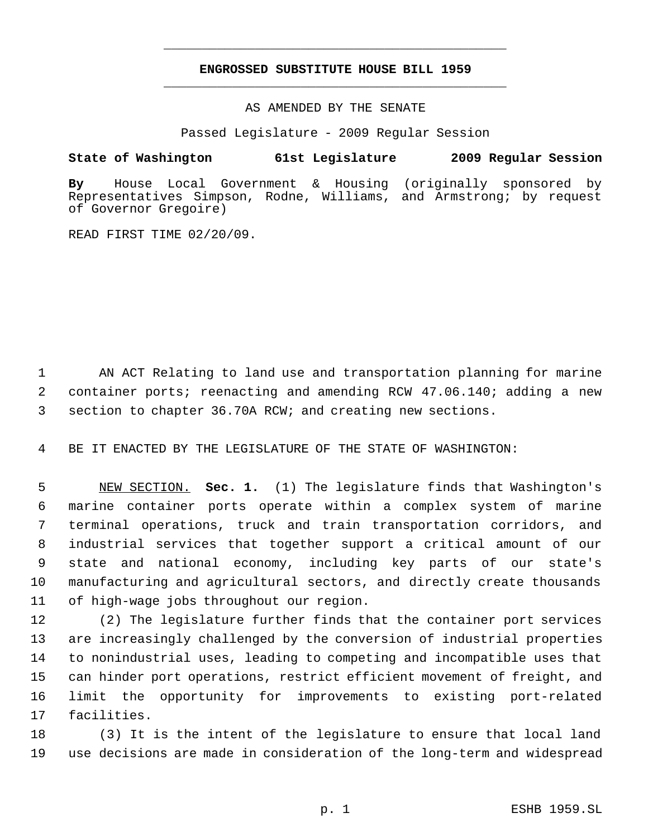# **ENGROSSED SUBSTITUTE HOUSE BILL 1959** \_\_\_\_\_\_\_\_\_\_\_\_\_\_\_\_\_\_\_\_\_\_\_\_\_\_\_\_\_\_\_\_\_\_\_\_\_\_\_\_\_\_\_\_\_

\_\_\_\_\_\_\_\_\_\_\_\_\_\_\_\_\_\_\_\_\_\_\_\_\_\_\_\_\_\_\_\_\_\_\_\_\_\_\_\_\_\_\_\_\_

AS AMENDED BY THE SENATE

Passed Legislature - 2009 Regular Session

# **State of Washington 61st Legislature 2009 Regular Session**

**By** House Local Government & Housing (originally sponsored by Representatives Simpson, Rodne, Williams, and Armstrong; by request of Governor Gregoire)

READ FIRST TIME 02/20/09.

 AN ACT Relating to land use and transportation planning for marine container ports; reenacting and amending RCW 47.06.140; adding a new section to chapter 36.70A RCW; and creating new sections.

BE IT ENACTED BY THE LEGISLATURE OF THE STATE OF WASHINGTON:

 NEW SECTION. **Sec. 1.** (1) The legislature finds that Washington's marine container ports operate within a complex system of marine terminal operations, truck and train transportation corridors, and industrial services that together support a critical amount of our state and national economy, including key parts of our state's manufacturing and agricultural sectors, and directly create thousands of high-wage jobs throughout our region.

 (2) The legislature further finds that the container port services are increasingly challenged by the conversion of industrial properties to nonindustrial uses, leading to competing and incompatible uses that can hinder port operations, restrict efficient movement of freight, and limit the opportunity for improvements to existing port-related facilities.

 (3) It is the intent of the legislature to ensure that local land use decisions are made in consideration of the long-term and widespread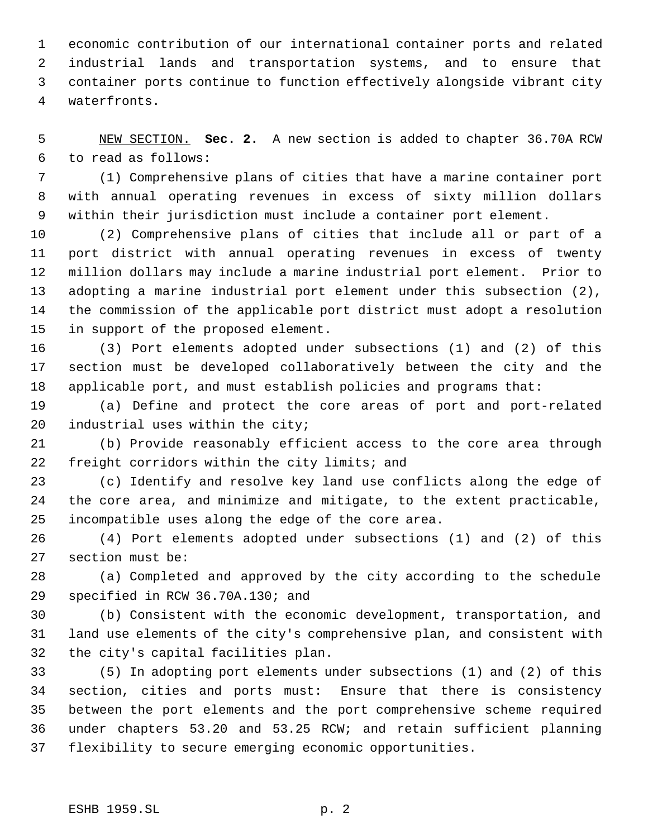economic contribution of our international container ports and related industrial lands and transportation systems, and to ensure that container ports continue to function effectively alongside vibrant city waterfronts.

 NEW SECTION. **Sec. 2.** A new section is added to chapter 36.70A RCW to read as follows:

 (1) Comprehensive plans of cities that have a marine container port with annual operating revenues in excess of sixty million dollars within their jurisdiction must include a container port element.

 (2) Comprehensive plans of cities that include all or part of a port district with annual operating revenues in excess of twenty million dollars may include a marine industrial port element. Prior to adopting a marine industrial port element under this subsection (2), the commission of the applicable port district must adopt a resolution in support of the proposed element.

 (3) Port elements adopted under subsections (1) and (2) of this section must be developed collaboratively between the city and the applicable port, and must establish policies and programs that:

 (a) Define and protect the core areas of port and port-related industrial uses within the city;

 (b) Provide reasonably efficient access to the core area through freight corridors within the city limits; and

 (c) Identify and resolve key land use conflicts along the edge of the core area, and minimize and mitigate, to the extent practicable, incompatible uses along the edge of the core area.

 (4) Port elements adopted under subsections (1) and (2) of this section must be:

 (a) Completed and approved by the city according to the schedule specified in RCW 36.70A.130; and

 (b) Consistent with the economic development, transportation, and land use elements of the city's comprehensive plan, and consistent with the city's capital facilities plan.

 (5) In adopting port elements under subsections (1) and (2) of this section, cities and ports must: Ensure that there is consistency between the port elements and the port comprehensive scheme required under chapters 53.20 and 53.25 RCW; and retain sufficient planning flexibility to secure emerging economic opportunities.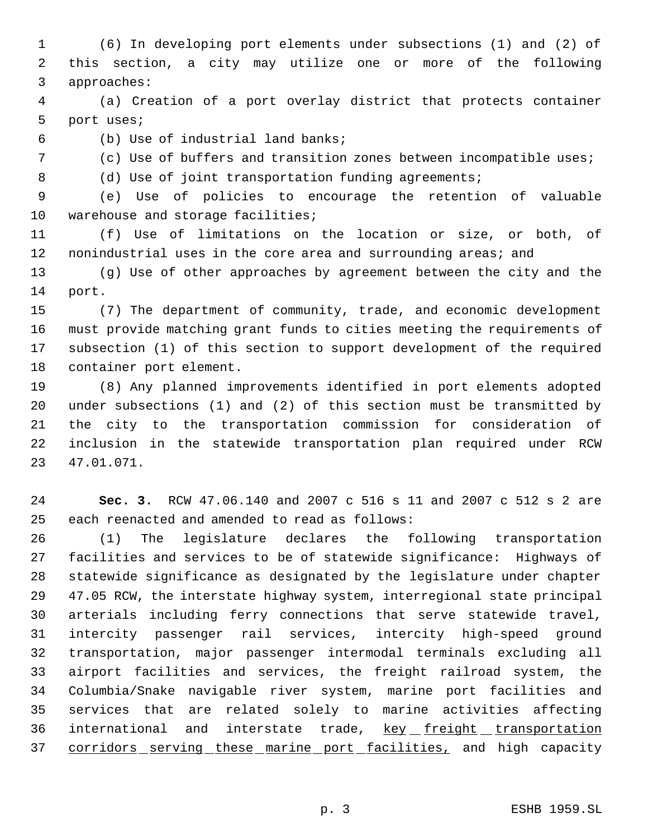(6) In developing port elements under subsections (1) and (2) of this section, a city may utilize one or more of the following approaches:

 (a) Creation of a port overlay district that protects container port uses;

(b) Use of industrial land banks;

(c) Use of buffers and transition zones between incompatible uses;

8 (d) Use of joint transportation funding agreements;

 (e) Use of policies to encourage the retention of valuable 10 warehouse and storage facilities;

 (f) Use of limitations on the location or size, or both, of 12 nonindustrial uses in the core area and surrounding areas; and

 (g) Use of other approaches by agreement between the city and the port.

 (7) The department of community, trade, and economic development must provide matching grant funds to cities meeting the requirements of subsection (1) of this section to support development of the required container port element.

 (8) Any planned improvements identified in port elements adopted under subsections (1) and (2) of this section must be transmitted by the city to the transportation commission for consideration of inclusion in the statewide transportation plan required under RCW 47.01.071.

 **Sec. 3.** RCW 47.06.140 and 2007 c 516 s 11 and 2007 c 512 s 2 are each reenacted and amended to read as follows:

 (1) The legislature declares the following transportation facilities and services to be of statewide significance: Highways of statewide significance as designated by the legislature under chapter 47.05 RCW, the interstate highway system, interregional state principal arterials including ferry connections that serve statewide travel, intercity passenger rail services, intercity high-speed ground transportation, major passenger intermodal terminals excluding all airport facilities and services, the freight railroad system, the Columbia/Snake navigable river system, marine port facilities and services that are related solely to marine activities affecting 36 international and interstate trade, key freight transportation 37 corridors serving these marine port facilities, and high capacity